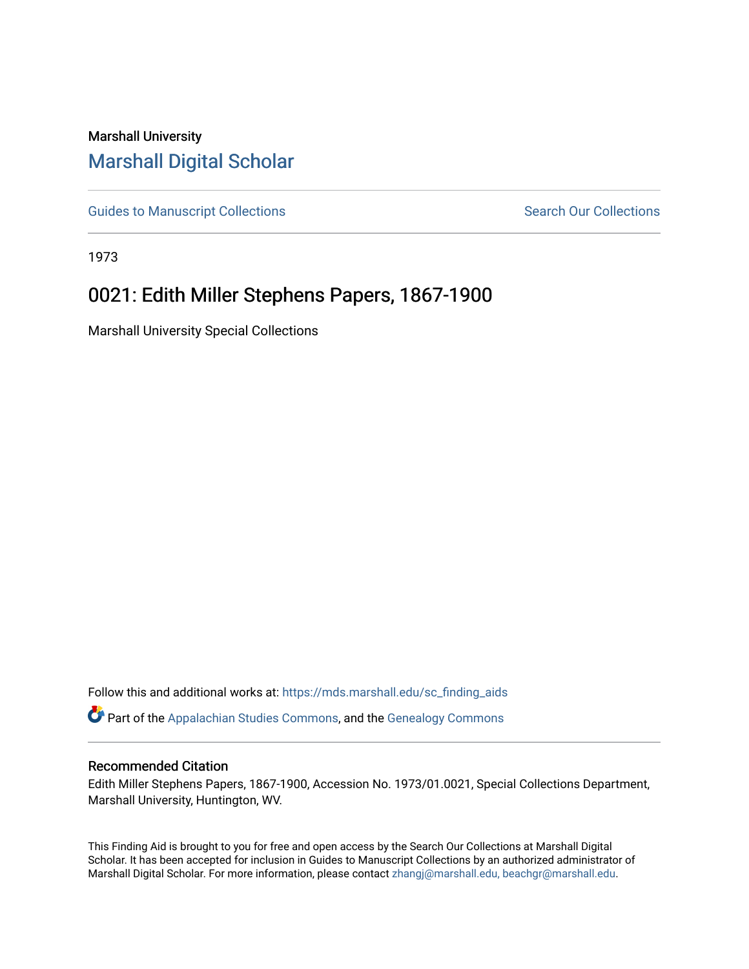# Marshall University [Marshall Digital Scholar](https://mds.marshall.edu/)

[Guides to Manuscript Collections](https://mds.marshall.edu/sc_finding_aids) **Search Our Collections** Search Our Collections

1973

# 0021: Edith Miller Stephens Papers, 1867-1900

Marshall University Special Collections

Follow this and additional works at: [https://mds.marshall.edu/sc\\_finding\\_aids](https://mds.marshall.edu/sc_finding_aids?utm_source=mds.marshall.edu%2Fsc_finding_aids%2F17&utm_medium=PDF&utm_campaign=PDFCoverPages)  Part of the [Appalachian Studies Commons,](http://network.bepress.com/hgg/discipline/1253?utm_source=mds.marshall.edu%2Fsc_finding_aids%2F17&utm_medium=PDF&utm_campaign=PDFCoverPages) and the [Genealogy Commons](http://network.bepress.com/hgg/discipline/1342?utm_source=mds.marshall.edu%2Fsc_finding_aids%2F17&utm_medium=PDF&utm_campaign=PDFCoverPages)

#### Recommended Citation

Edith Miller Stephens Papers, 1867-1900, Accession No. 1973/01.0021, Special Collections Department, Marshall University, Huntington, WV.

This Finding Aid is brought to you for free and open access by the Search Our Collections at Marshall Digital Scholar. It has been accepted for inclusion in Guides to Manuscript Collections by an authorized administrator of Marshall Digital Scholar. For more information, please contact [zhangj@marshall.edu, beachgr@marshall.edu](mailto:zhangj@marshall.edu,%20beachgr@marshall.edu).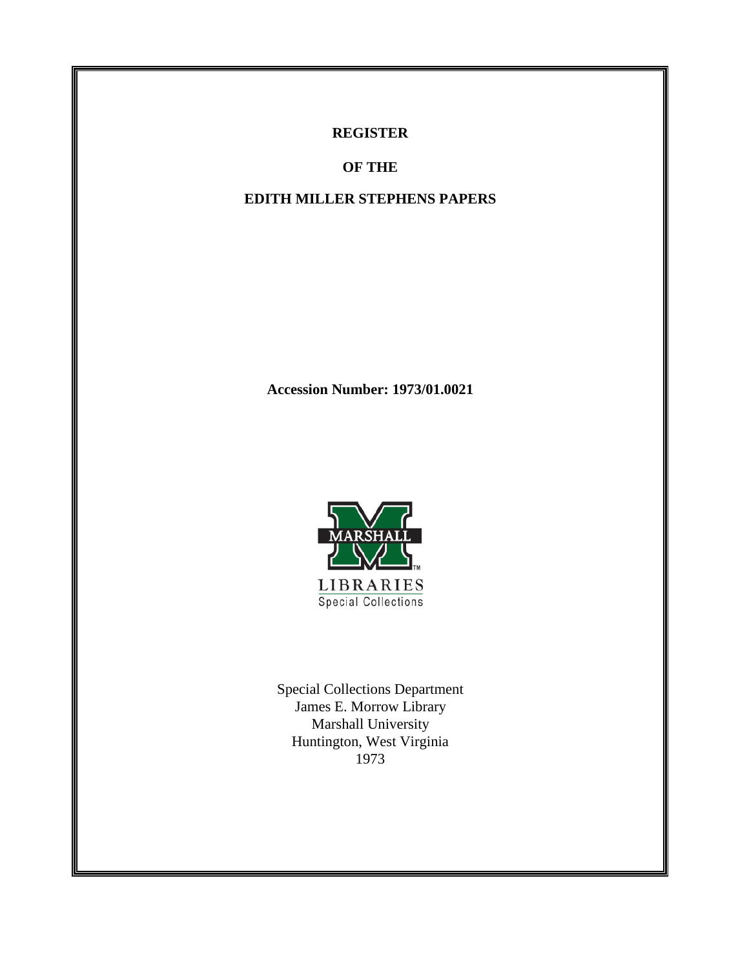## **REGISTER**

**OF THE**

## **EDITH MILLER STEPHENS PAPERS**

**Accession Number: 1973/01.0021** 



Special Collections Department James E. Morrow Library Marshall University Huntington, West Virginia 1973